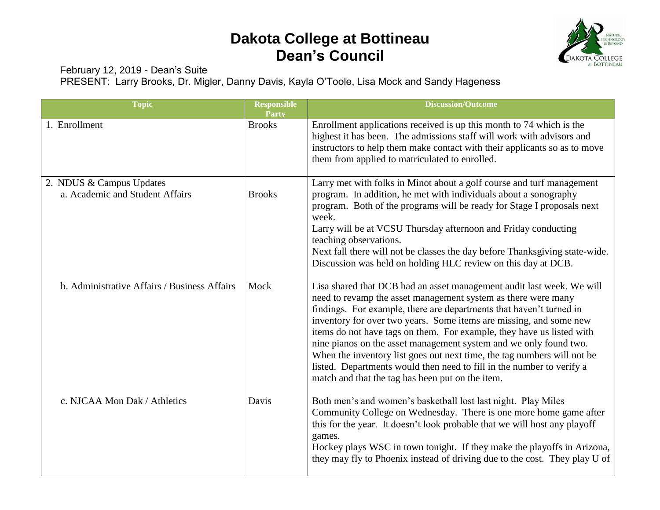## **Dakota College at Bottineau Dean's Council**



February 12, 2019 - Dean's Suite

PRESENT: Larry Brooks, Dr. Migler, Danny Davis, Kayla O'Toole, Lisa Mock and Sandy Hageness

| <b>Topic</b>                                                | <b>Responsible</b><br>Party | <b>Discussion/Outcome</b>                                                                                                                                                                                                                                                                                                                                                                                                                                                                                                                                                                                                                 |
|-------------------------------------------------------------|-----------------------------|-------------------------------------------------------------------------------------------------------------------------------------------------------------------------------------------------------------------------------------------------------------------------------------------------------------------------------------------------------------------------------------------------------------------------------------------------------------------------------------------------------------------------------------------------------------------------------------------------------------------------------------------|
| 1. Enrollment                                               | <b>Brooks</b>               | Enrollment applications received is up this month to 74 which is the<br>highest it has been. The admissions staff will work with advisors and<br>instructors to help them make contact with their applicants so as to move<br>them from applied to matriculated to enrolled.                                                                                                                                                                                                                                                                                                                                                              |
| 2. NDUS & Campus Updates<br>a. Academic and Student Affairs | <b>Brooks</b>               | Larry met with folks in Minot about a golf course and turf management<br>program. In addition, he met with individuals about a sonography<br>program. Both of the programs will be ready for Stage I proposals next<br>week.<br>Larry will be at VCSU Thursday afternoon and Friday conducting<br>teaching observations.<br>Next fall there will not be classes the day before Thanksgiving state-wide.<br>Discussion was held on holding HLC review on this day at DCB.                                                                                                                                                                  |
| b. Administrative Affairs / Business Affairs                | Mock                        | Lisa shared that DCB had an asset management audit last week. We will<br>need to revamp the asset management system as there were many<br>findings. For example, there are departments that haven't turned in<br>inventory for over two years. Some items are missing, and some new<br>items do not have tags on them. For example, they have us listed with<br>nine pianos on the asset management system and we only found two.<br>When the inventory list goes out next time, the tag numbers will not be<br>listed. Departments would then need to fill in the number to verify a<br>match and that the tag has been put on the item. |
| c. NJCAA Mon Dak / Athletics                                | Davis                       | Both men's and women's basketball lost last night. Play Miles<br>Community College on Wednesday. There is one more home game after<br>this for the year. It doesn't look probable that we will host any playoff<br>games.<br>Hockey plays WSC in town tonight. If they make the playoffs in Arizona,<br>they may fly to Phoenix instead of driving due to the cost. They play U of                                                                                                                                                                                                                                                        |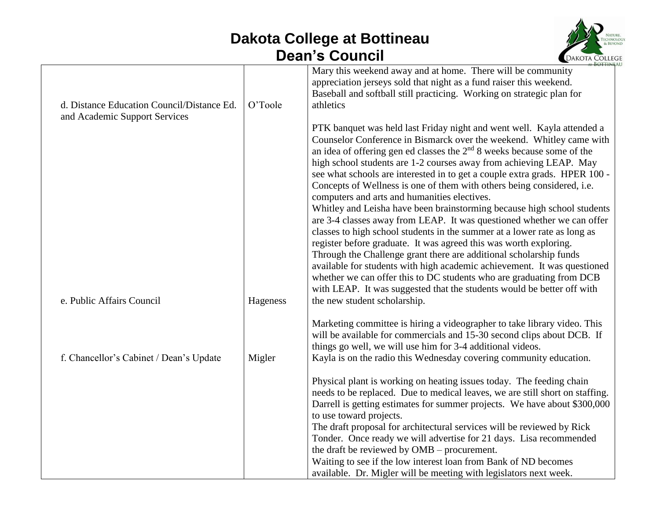## **Dakota College at Bottineau Dean's Council**



|                                            |          | Mary this weekend away and at home. There will be community                  |
|--------------------------------------------|----------|------------------------------------------------------------------------------|
|                                            |          | appreciation jerseys sold that night as a fund raiser this weekend.          |
|                                            |          | Baseball and softball still practicing. Working on strategic plan for        |
| d. Distance Education Council/Distance Ed. | O'Toole  | athletics                                                                    |
| and Academic Support Services              |          |                                                                              |
|                                            |          | PTK banquet was held last Friday night and went well. Kayla attended a       |
|                                            |          | Counselor Conference in Bismarck over the weekend. Whitley came with         |
|                                            |          | an idea of offering gen ed classes the $2nd 8$ weeks because some of the     |
|                                            |          | high school students are 1-2 courses away from achieving LEAP. May           |
|                                            |          | see what schools are interested in to get a couple extra grads. HPER 100 -   |
|                                            |          | Concepts of Wellness is one of them with others being considered, i.e.       |
|                                            |          | computers and arts and humanities electives.                                 |
|                                            |          | Whitley and Leisha have been brainstorming because high school students      |
|                                            |          | are 3-4 classes away from LEAP. It was questioned whether we can offer       |
|                                            |          | classes to high school students in the summer at a lower rate as long as     |
|                                            |          | register before graduate. It was agreed this was worth exploring.            |
|                                            |          |                                                                              |
|                                            |          | Through the Challenge grant there are additional scholarship funds           |
|                                            |          | available for students with high academic achievement. It was questioned     |
|                                            |          | whether we can offer this to DC students who are graduating from DCB         |
|                                            |          | with LEAP. It was suggested that the students would be better off with       |
| e. Public Affairs Council                  | Hageness | the new student scholarship.                                                 |
|                                            |          |                                                                              |
|                                            |          | Marketing committee is hiring a videographer to take library video. This     |
|                                            |          | will be available for commercials and 15-30 second clips about DCB. If       |
|                                            |          | things go well, we will use him for 3-4 additional videos.                   |
| f. Chancellor's Cabinet / Dean's Update    | Migler   | Kayla is on the radio this Wednesday covering community education.           |
|                                            |          | Physical plant is working on heating issues today. The feeding chain         |
|                                            |          | needs to be replaced. Due to medical leaves, we are still short on staffing. |
|                                            |          | Darrell is getting estimates for summer projects. We have about \$300,000    |
|                                            |          | to use toward projects.                                                      |
|                                            |          | The draft proposal for architectural services will be reviewed by Rick       |
|                                            |          | Tonder. Once ready we will advertise for 21 days. Lisa recommended           |
|                                            |          | the draft be reviewed by OMB – procurement.                                  |
|                                            |          | Waiting to see if the low interest loan from Bank of ND becomes              |
|                                            |          |                                                                              |
|                                            |          | available. Dr. Migler will be meeting with legislators next week.            |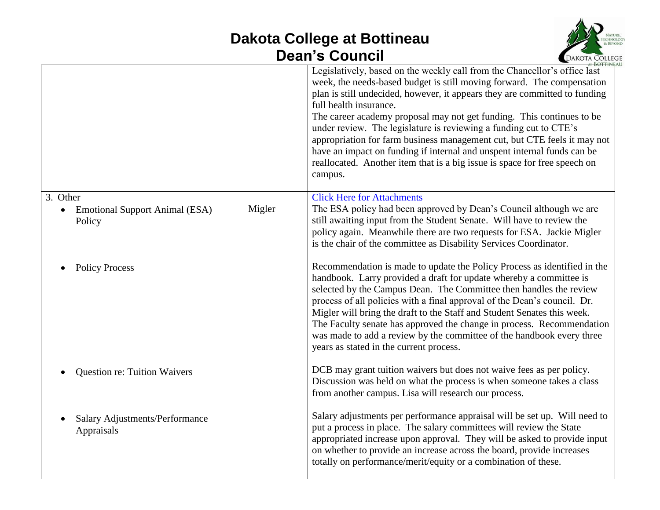## **Dakota College at Bottineau Dean's Council**



|                                                 |        | Legislatively, based on the weekly call from the Chancellor's office last<br>week, the needs-based budget is still moving forward. The compensation<br>plan is still undecided, however, it appears they are committed to funding<br>full health insurance.<br>The career academy proposal may not get funding. This continues to be<br>under review. The legislature is reviewing a funding cut to CTE's<br>appropriation for farm business management cut, but CTE feels it may not<br>have an impact on funding if internal and unspent internal funds can be<br>reallocated. Another item that is a big issue is space for free speech on<br>campus. |
|-------------------------------------------------|--------|----------------------------------------------------------------------------------------------------------------------------------------------------------------------------------------------------------------------------------------------------------------------------------------------------------------------------------------------------------------------------------------------------------------------------------------------------------------------------------------------------------------------------------------------------------------------------------------------------------------------------------------------------------|
| 3. Other                                        |        | <b>Click Here for Attachments</b>                                                                                                                                                                                                                                                                                                                                                                                                                                                                                                                                                                                                                        |
| <b>Emotional Support Animal (ESA)</b><br>Policy | Migler | The ESA policy had been approved by Dean's Council although we are<br>still awaiting input from the Student Senate. Will have to review the<br>policy again. Meanwhile there are two requests for ESA. Jackie Migler<br>is the chair of the committee as Disability Services Coordinator.                                                                                                                                                                                                                                                                                                                                                                |
| <b>Policy Process</b>                           |        | Recommendation is made to update the Policy Process as identified in the<br>handbook. Larry provided a draft for update whereby a committee is<br>selected by the Campus Dean. The Committee then handles the review<br>process of all policies with a final approval of the Dean's council. Dr.<br>Migler will bring the draft to the Staff and Student Senates this week.<br>The Faculty senate has approved the change in process. Recommendation<br>was made to add a review by the committee of the handbook every three<br>years as stated in the current process.                                                                                 |
| <b>Question re: Tuition Waivers</b>             |        | DCB may grant tuition waivers but does not waive fees as per policy.<br>Discussion was held on what the process is when someone takes a class<br>from another campus. Lisa will research our process.                                                                                                                                                                                                                                                                                                                                                                                                                                                    |
| Salary Adjustments/Performance<br>Appraisals    |        | Salary adjustments per performance appraisal will be set up. Will need to<br>put a process in place. The salary committees will review the State<br>appropriated increase upon approval. They will be asked to provide input<br>on whether to provide an increase across the board, provide increases<br>totally on performance/merit/equity or a combination of these.                                                                                                                                                                                                                                                                                  |